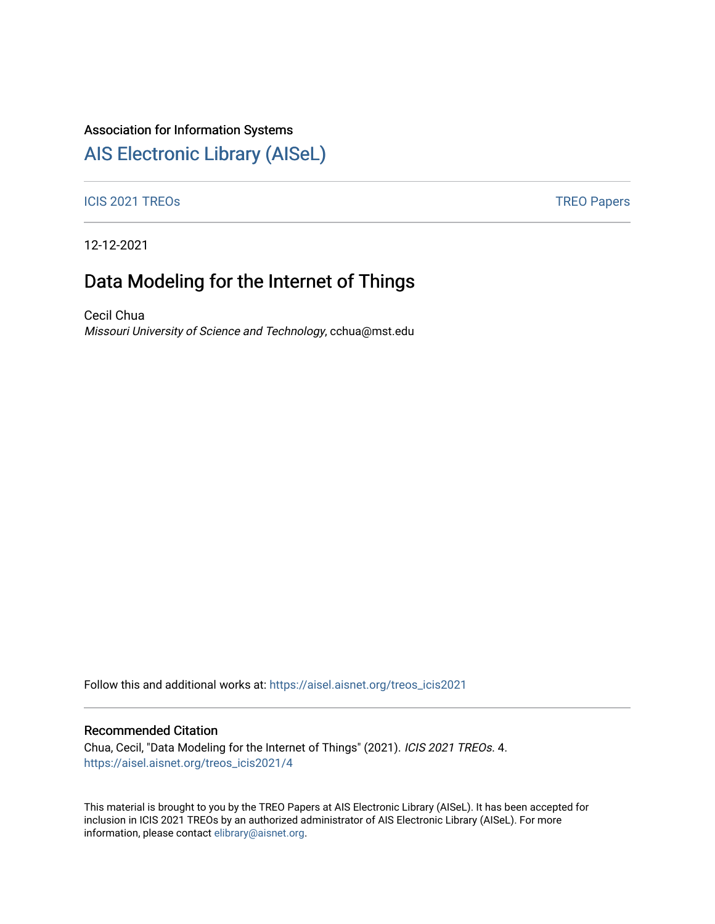## Association for Information Systems

## [AIS Electronic Library \(AISeL\)](https://aisel.aisnet.org/)

#### ICIS 2021 TREOS **TREOS** TREO Papers

12-12-2021

# Data Modeling for the Internet of Things

Cecil Chua Missouri University of Science and Technology, cchua@mst.edu

Follow this and additional works at: [https://aisel.aisnet.org/treos\\_icis2021](https://aisel.aisnet.org/treos_icis2021?utm_source=aisel.aisnet.org%2Ftreos_icis2021%2F4&utm_medium=PDF&utm_campaign=PDFCoverPages) 

#### Recommended Citation

Chua, Cecil, "Data Modeling for the Internet of Things" (2021). ICIS 2021 TREOs. 4. [https://aisel.aisnet.org/treos\\_icis2021/4](https://aisel.aisnet.org/treos_icis2021/4?utm_source=aisel.aisnet.org%2Ftreos_icis2021%2F4&utm_medium=PDF&utm_campaign=PDFCoverPages) 

This material is brought to you by the TREO Papers at AIS Electronic Library (AISeL). It has been accepted for inclusion in ICIS 2021 TREOs by an authorized administrator of AIS Electronic Library (AISeL). For more information, please contact [elibrary@aisnet.org.](mailto:elibrary@aisnet.org%3E)